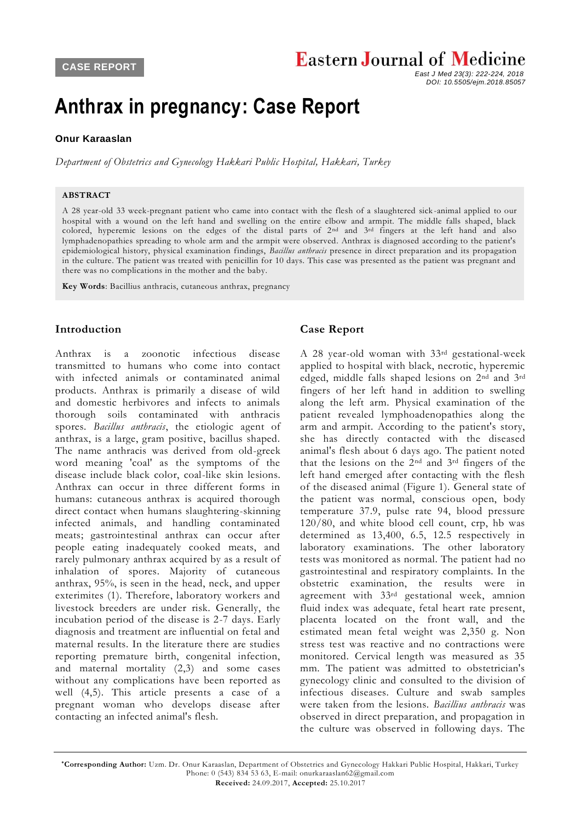## **Eastern Journal of Medicine**

 *East J Med 23(3): 222-224, 2018 DOI: 10.5505/ejm.2018.85057*

# **Anthrax in pregnancy: Case Report**

## **[Onur Karaaslan](javascript:sa()**

*Department of Obstetrics and Gynecology Hakkari Public Hospital, Hakkari, Turkey*

#### **ABSTRACT**

A 28 year-old 33 week-pregnant patient who came into contact with the flesh of a slaughtered sick -animal applied to our hospital with a wound on the left hand and swelling on the entire elbow and armpit. The middle falls shaped, black colored, hyperemic lesions on the edges of the distal parts of 2<sup>nd</sup> and 3<sup>rd</sup> fingers at the left hand and also lymphadenopathies spreading to whole arm and the armpit were observed. Anthrax is diagnosed according to the patient's epidemiological history, physical examination findings, *Bacillus anthracis* presence in direct preparation and its propagation in the culture. The patient was treated with penicillin for 10 days. This case was presented as the patient was pregnant and there was no complications in the mother and the baby.

**Key Words**: Bacillius anthracis, cutaneous anthrax, pregnancy

## **Introduction**

Anthrax is a zoonotic infectious disease transmitted to humans who come into contact with infected animals or contaminated animal products. Anthrax is primarily a disease of wild and domestic herbivores and infects to animals thorough soils contaminated with anthracis spores. *Bacillus anthracis*, the etiologic agent of anthrax, is a large, gram positive, bacillus shaped. The name anthracis was derived from old-greek word meaning 'coal' as the symptoms of the disease include black color, coal-like skin lesions. Anthrax can occur in three different forms in humans: cutaneous anthrax is acquired thorough direct contact when humans slaughtering-skinning infected animals, and handling contaminated meats; gastrointestinal anthrax can occur after people eating inadequately cooked meats, and rarely pulmonary anthrax acquired by as a result of inhalation of spores. Majority of cutaneous anthrax, 95%, is seen in the head, neck, and upper exterimites (1). Therefore, laboratory workers and livestock breeders are under risk. Generally, the incubation period of the disease is 2-7 days. Early diagnosis and treatment are influential on fetal and maternal results. In the literature there are studies reporting premature birth, congenital infection, and maternal mortality (2,3) and some cases without any complications have been reported as well (4,5). This article presents a case of a pregnant woman who develops disease after contacting an infected animal's flesh.

## **Case Report**

A 28 year-old woman with 33rd gestational-week applied to hospital with black, necrotic, hyperemic edged, middle falls shaped lesions on 2nd and 3rd fingers of her left hand in addition to swelling along the left arm. Physical examination of the patient revealed lymphoadenopathies along the arm and armpit. According to the patient's story, she has directly contacted with the diseased animal's flesh about 6 days ago. The patient noted that the lesions on the 2nd and 3rd fingers of the left hand emerged after contacting with the flesh of the diseased animal (Figure 1). General state of the patient was normal, conscious open, body temperature 37.9, pulse rate 94, blood pressure 120/80, and white blood cell count, crp, hb was determined as 13,400, 6.5, 12.5 respectively in laboratory examinations. The other laboratory tests was monitored as normal. The patient had no gastrointestinal and respiratory complaints. In the obstetric examination, the results were in agreement with 33rd gestational week, amnion fluid index was adequate, fetal heart rate present, placenta located on the front wall, and the estimated mean fetal weight was 2,350 g. Non stress test was reactive and no contractions were monitored. Cervical length was measured as 35 mm. The patient was admitted to obstetrician's gynecology clinic and consulted to the division of infectious diseases. Culture and swab samples were taken from the lesions. *Bacillius anthracis* was observed in direct preparation, and propagation in the culture was observed in following days. The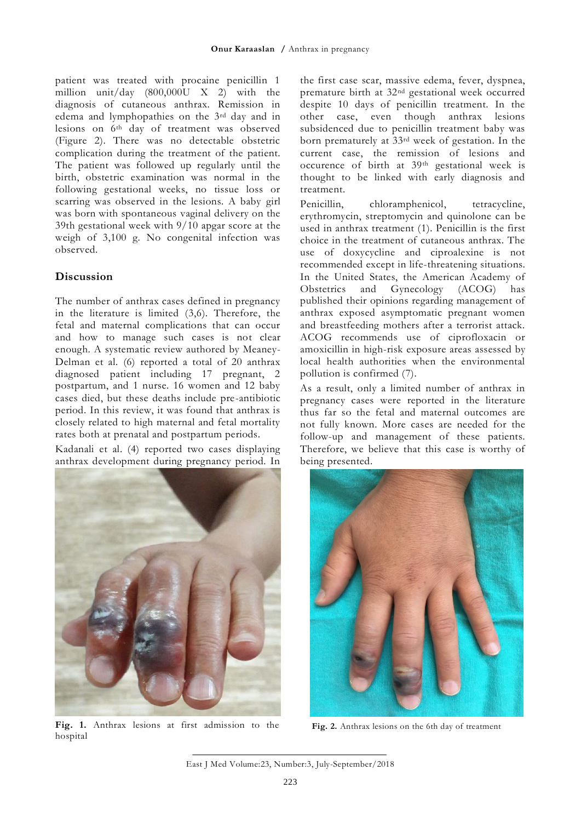patient was treated with procaine penicillin 1 million unit/day  $(800,000\text{U} \times 2)$  with the diagnosis of cutaneous anthrax. Remission in edema and lymphopathies on the 3rd day and in lesions on 6th day of treatment was observed (Figure 2). There was no detectable obstetric complication during the treatment of the patient. The patient was followed up regularly until the birth, obstetric examination was normal in the following gestational weeks, no tissue loss or scarring was observed in the lesions. A baby girl was born with spontaneous vaginal delivery on the 39th gestational week with 9/10 apgar score at the weigh of 3,100 g. No congenital infection was observed.

## **Discussion**

The number of anthrax cases defined in pregnancy in the literature is limited (3,6). Therefore, the fetal and maternal complications that can occur and how to manage such cases is not clear enough. A systematic review authored by Meaney-Delman et al*.* (6) reported a total of 20 anthrax diagnosed patient including 17 pregnant, 2 postpartum, and 1 nurse. 16 women and 12 baby cases died, but these deaths include pre-antibiotic period. In this review, it was found that anthrax is closely related to high maternal and fetal mortality rates both at prenatal and postpartum periods.

Kadanali et al. (4) reported two cases displaying anthrax development during pregnancy period. In



 **Fig. 1.** Anthrax lesions at first admission to the **References** hospital

the first case scar, massive edema, fever, dyspnea, premature birth at 32nd gestational week occurred despite 10 days of penicillin treatment. In the other case, even though anthrax lesions subsidenced due to penicillin treatment baby was born prematurely at 33rd week of gestation. In the current case, the remission of lesions and occurence of birth at 39th gestational week is thought to be linked with early diagnosis and treatment.

Penicillin, chloramphenicol, tetracycline, erythromycin, streptomycin and quinolone can be used in anthrax treatment (1). Penicillin is the first choice in the treatment of cutaneous anthrax. The use of doxycycline and ciproalexine is not recommended except in life-threatening situations. In the United States, the American Academy of<br>Obstetrics and Gynecology (ACOG) has Obstetrics and Gynecology (ACOG) has published their opinions regarding management of anthrax exposed asymptomatic pregnant women and breastfeeding mothers after a terrorist attack. ACOG recommends use of ciprofloxacin or amoxicillin in high-risk exposure areas assessed by local health authorities when the environmental pollution is confirmed (7).

As a result, only a limited number of anthrax in pregnancy cases were reported in the literature thus far so the fetal and maternal outcomes are not fully known. More cases are needed for the follow-up and management of these patients. Therefore, we believe that this case is worthy of being presented.



**Fig. 2.** Anthrax lesions on the 6th day of treatment